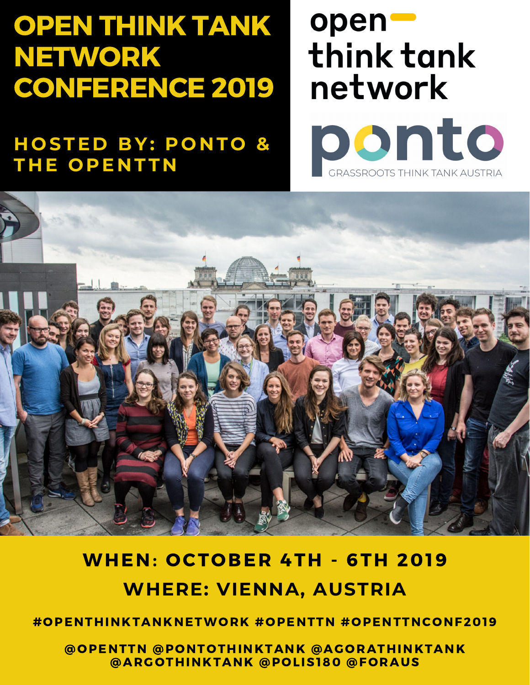## OPEN THINK TANK NETWORK CONFERENCE 2019

**H O STE D BY: P O N T O &**  $THE$  **OPENTTN** 

# openthink tank network





### WHEN: OCTOBER 4TH - 6TH 2019 **WHERE: VIENNA, AUSTRIA**

#OPENTHINKTANKNETWORK #OPENTTN #OPENTTNCONF2019

@OPENTTN @PONTOTHINKTANK @AGORATHINKTANK @ARGOTHINKTANK @POLIS180 @FORAUS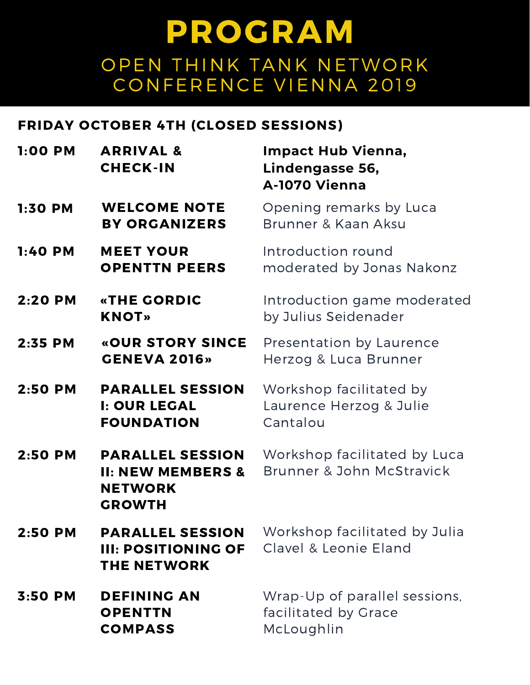#### FRIDAY OCTOBER 4TH (CLOSED SESSIONS)

| 1:00 PM   | <b>ARRIVAL &amp;</b><br><b>CHECK-IN</b>                                                    | <b>Impact Hub Vienna,</b><br>Lindengasse 56,<br>A-1070 Vienna                  |
|-----------|--------------------------------------------------------------------------------------------|--------------------------------------------------------------------------------|
| 1:30 PM   | <b>WELCOME NOTE</b><br><b>BY ORGANIZERS</b>                                                | Opening remarks by Luca<br>Brunner & Kaan Aksu                                 |
| 1:40 PM   | <b>MEET YOUR</b><br><b>OPENTTN PEERS</b>                                                   | Introduction round<br>moderated by Jonas Nakonz                                |
| 2:20 PM   | <b>«THE GORDIC</b><br><b>KNOT»</b>                                                         | Introduction game moderated<br>by Julius Seidenader                            |
| $2:35$ PM | «OUR STORY SINCE<br><b>GENEVA 2016»</b>                                                    | Presentation by Laurence<br>Herzog & Luca Brunner                              |
| 2:50 PM   | <b>PARALLEL SESSION</b><br><b>I: OUR LEGAL</b><br><b>FOUNDATION</b>                        | Workshop facilitated by<br>Laurence Herzog & Julie<br>Cantalou                 |
| $2:50$ PM | <b>PARALLEL SESSION</b><br><b>II: NEW MEMBERS &amp;</b><br><b>NETWORK</b><br><b>GROWTH</b> | Workshop facilitated by Luca<br>Brunner & John McStravick                      |
| 2:50 PM   | <b>III: POSITIONING OF</b><br><b>THE NETWORK</b>                                           | <b>PARALLEL SESSION</b> Workshop facilitated by Julia<br>Clavel & Leonie Eland |
| $3:50$ PM | <b>DEFINING AN</b><br><b>OPENTTN</b><br><b>COMPASS</b>                                     | Wrap-Up of parallel sessions,<br>facilitated by Grace<br>McLoughlin            |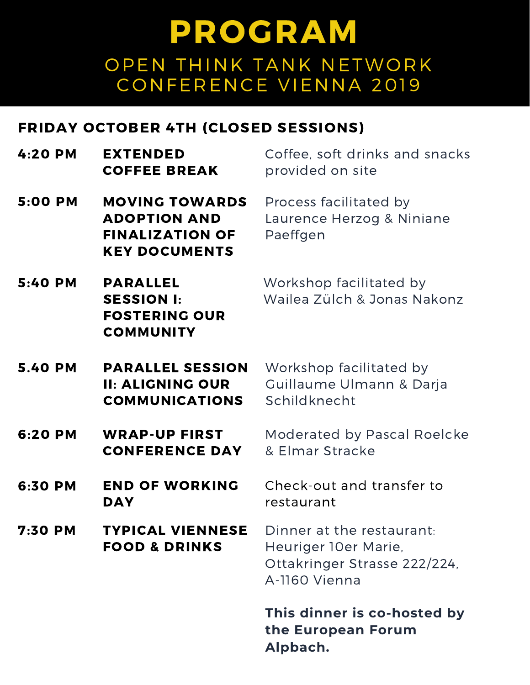#### FRIDAY OCTOBER 4TH (CLOSED SESSIONS)

| $4:20$ PM      | <b>EXTENDED</b><br><b>COFFEE BREAK</b>                                                         | Coffee, soft drinks and snacks<br>provided on site                                                 |
|----------------|------------------------------------------------------------------------------------------------|----------------------------------------------------------------------------------------------------|
| 5:00 PM        | <b>MOVING TOWARDS</b><br><b>ADOPTION AND</b><br><b>FINALIZATION OF</b><br><b>KEY DOCUMENTS</b> | Process facilitated by<br>Laurence Herzog & Niniane<br>Paeffgen                                    |
| 5:40 PM        | <b>PARALLEL</b><br><b>SESSION I:</b><br><b>FOSTERING OUR</b><br><b>COMMUNITY</b>               | Workshop facilitated by<br>Wailea Zülch & Jonas Nakonz                                             |
| <b>5.40 PM</b> | <b>PARALLEL SESSION</b><br><b>II: ALIGNING OUR</b><br><b>COMMUNICATIONS</b>                    | Workshop facilitated by<br>Guillaume Ulmann & Darja<br>Schildknecht                                |
| 6:20 PM        | <b>WRAP-UP FIRST</b><br><b>CONFERENCE DAY</b>                                                  | Moderated by Pascal Roelcke<br>& Elmar Stracke                                                     |
| 6:30 PM        | <b>END OF WORKING</b><br><b>DAY</b>                                                            | Check-out and transfer to<br>restaurant                                                            |
| 7:30 PM        | TYPICAL VIENNESE<br><b>FOOD &amp; DRINKS</b>                                                   | Dinner at the restaurant:<br>Heuriger 10er Marie,<br>Ottakringer Strasse 222/224,<br>A-1160 Vienna |
|                |                                                                                                | This dinner is co-hosted by<br>the European Forum<br>Alpbach.                                      |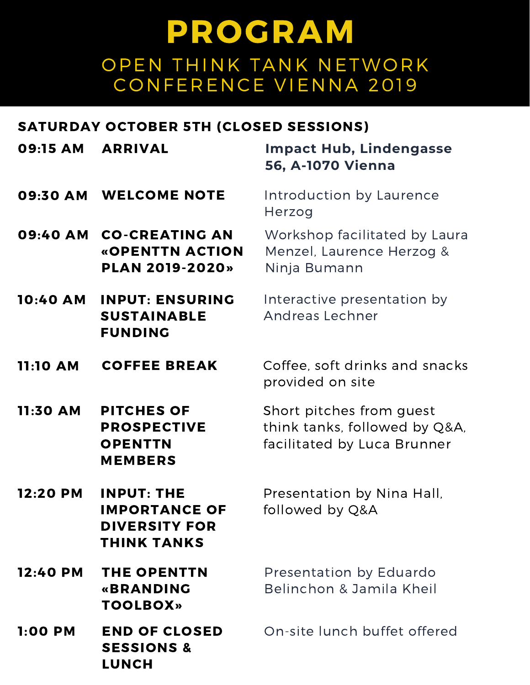#### SATURDAY OCTOBER 5TH (CLOSED SESSIONS)

| 09:15 AM        | <b>ARRIVAL</b>                                                                          | <b>Impact Hub, Lindengasse</b><br>56, A-1070 Vienna                                      |
|-----------------|-----------------------------------------------------------------------------------------|------------------------------------------------------------------------------------------|
| 09:30 AM        | <b>WELCOME NOTE</b>                                                                     | Introduction by Laurence<br>Herzog                                                       |
| 09:40 AM        | <b>CO-CREATING AN</b><br>«OPENTTN ACTION<br><b>PLAN 2019-2020»</b>                      | Workshop facilitated by Laura<br>Menzel, Laurence Herzog &<br>Ninja Bumann               |
| <b>10:40 AM</b> | <b>INPUT: ENSURING</b><br><b>SUSTAINABLE</b><br><b>FUNDING</b>                          | Interactive presentation by<br><b>Andreas Lechner</b>                                    |
| <b>11:10 AM</b> | <b>COFFEE BREAK</b>                                                                     | Coffee, soft drinks and snacks<br>provided on site                                       |
| 11:30 AM        | <b>PITCHES OF</b><br><b>PROSPECTIVE</b><br><b>OPENTTN</b><br><b>MEMBERS</b>             | Short pitches from guest<br>think tanks, followed by Q&A,<br>facilitated by Luca Brunner |
| 12:20 PM        | <b>INPUT: THE</b><br><b>IMPORTANCE OF</b><br><b>DIVERSITY FOR</b><br><b>THINK TANKS</b> | Presentation by Nina Hall,<br>followed by Q&A                                            |
| 12:40 PM        | <b>THE OPENTTN</b><br>«BRANDING<br><b>TOOLBOX»</b>                                      | Presentation by Eduardo<br>Belinchon & Jamila Kheil                                      |
| 1:00 PM         | <b>END OF CLOSED</b><br><b>SESSIONS &amp;</b><br><b>LUNCH</b>                           | On-site lunch buffet offered                                                             |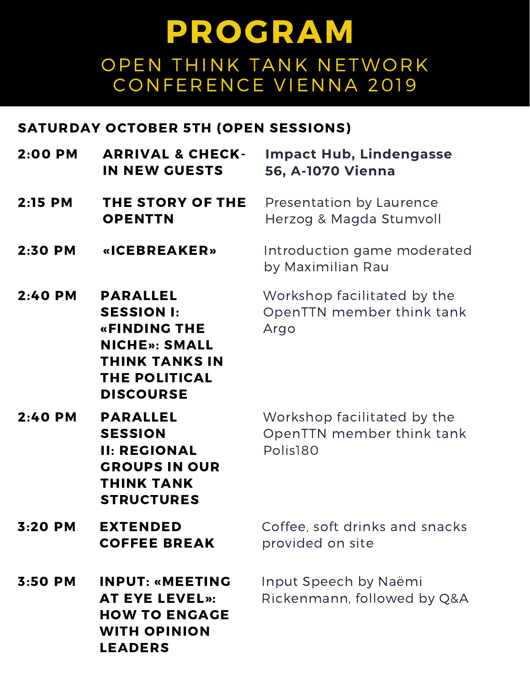#### SATURDAY OCTOBER 5TH (OPEN SESSIONS)

| 2:00 PM   | <b>ARRIVAL &amp; CHECK-</b><br><b>IN NEW GUESTS</b>                                                                                               | <b>Impact Hub, Lindengasse</b><br>56, A-1070 Vienna                  |
|-----------|---------------------------------------------------------------------------------------------------------------------------------------------------|----------------------------------------------------------------------|
| 2:15 PM   | THE STORY OF THE<br><b>OPENTTN</b>                                                                                                                | Presentation by Laurence<br>Herzog & Magda Stumvoll                  |
| 2:30 PM   | «ICEBREAKER»                                                                                                                                      | Introduction game moderated<br>by Maximilian Rau                     |
| 2:40 PM   | <b>PARALLEL</b><br><b>SESSION I:</b><br>«FINDING THE<br><b>NICHE»: SMALL</b><br><b>THINK TANKS IN</b><br><b>THE POLITICAL</b><br><b>DISCOURSE</b> | Workshop facilitated by the<br>OpenTTN member think tank<br>Argo     |
| $2:40$ PM | <b>PARALLEL</b><br><b>SESSION</b><br><b>II: REGIONAL</b><br><b>GROUPS IN OUR</b><br><b>THINK TANK</b><br><b>STRUCTURES</b>                        | Workshop facilitated by the<br>OpenTTN member think tank<br>Polis180 |
| 3:20 PM   | <b>EXTENDED</b><br><b>COFFEE BREAK</b>                                                                                                            | Coffee, soft drinks and snacks<br>provided on site                   |
| $3:50$ PM | <b>INPUT: «MEETING</b><br><b>AT EYE LEVEL»:</b><br><b>HOW TO ENGAGE</b><br><b>WITH OPINION</b><br><b>LEADERS</b>                                  | Input Speech by Naëmi<br>Rickenmann, followed by Q&A                 |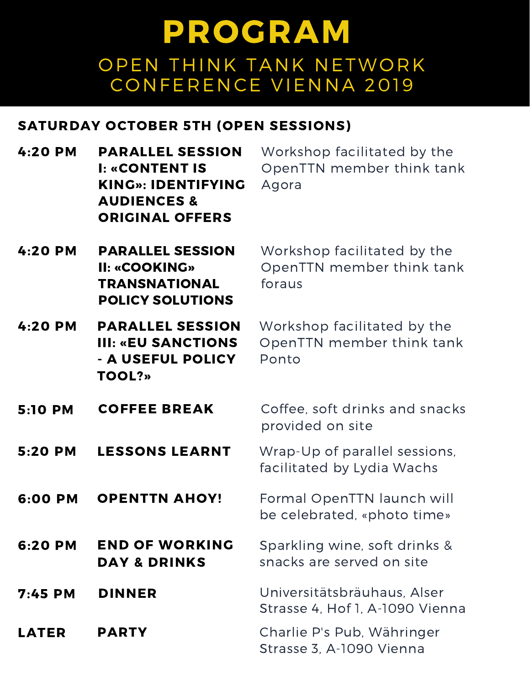#### SATURDAY OCTOBER 5TH (OPEN SESSIONS)

| $4:20$ PM      | <b>PARALLEL SESSION</b><br><b>I: «CONTENT IS</b><br><b>KING»: IDENTIFYING</b><br><b>AUDIENCES &amp;</b><br><b>ORIGINAL OFFERS</b> | Workshop facilitated by the<br>OpenTTN member think tank<br>Agora  |
|----------------|-----------------------------------------------------------------------------------------------------------------------------------|--------------------------------------------------------------------|
| $4:20$ PM      | <b>PARALLEL SESSION</b><br>II: «COOKING»<br><b>TRANSNATIONAL</b><br><b>POLICY SOLUTIONS</b>                                       | Workshop facilitated by the<br>OpenTTN member think tank<br>foraus |
| $4:20$ PM      | <b>PARALLEL SESSION</b><br><b>III: «EU SANCTIONS</b><br>- A USEFUL POLICY<br><b>TOOL?»</b>                                        | Workshop facilitated by the<br>OpenTTN member think tank<br>Ponto  |
| <b>5:10 PM</b> | <b>COFFEE BREAK</b>                                                                                                               | Coffee, soft drinks and snacks<br>provided on site                 |
| 5:20 PM        | <b>LESSONS LEARNT</b>                                                                                                             | Wrap-Up of parallel sessions,<br>facilitated by Lydia Wachs        |
| 6:00 PM        | <b>OPENTTN AHOY!</b>                                                                                                              | Formal OpenTTN launch will<br>be celebrated, «photo time»          |
| 6:20 PM        | <b>END OF WORKING</b><br><b>DAY &amp; DRINKS</b>                                                                                  | Sparkling wine, soft drinks &<br>snacks are served on site         |
| $7:45$ PM      | <b>DINNER</b>                                                                                                                     | Universitätsbräuhaus, Alser<br>Strasse 4, Hof 1, A-1090 Vienna     |
| <b>LATER</b>   | <b>PARTY</b>                                                                                                                      | Charlie P's Pub, Währinger<br>Strasse 3, A-1090 Vienna             |